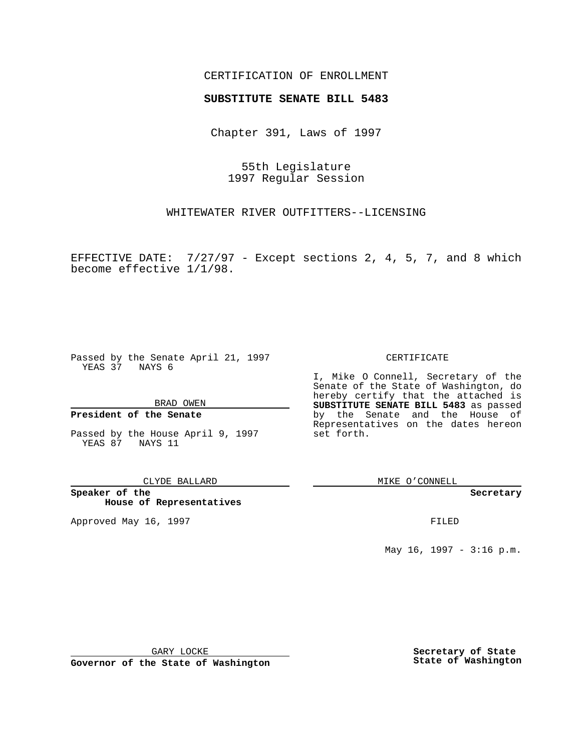## CERTIFICATION OF ENROLLMENT

## **SUBSTITUTE SENATE BILL 5483**

Chapter 391, Laws of 1997

55th Legislature 1997 Regular Session

WHITEWATER RIVER OUTFITTERS--LICENSING

EFFECTIVE DATE: 7/27/97 - Except sections 2, 4, 5, 7, and 8 which become effective 1/1/98.

Passed by the Senate April 21, 1997 YEAS 37 NAYS 6

BRAD OWEN

### **President of the Senate**

Passed by the House April 9, 1997 YEAS 87 NAYS 11

CLYDE BALLARD

**Speaker of the House of Representatives**

Approved May 16, 1997 **FILED** 

### CERTIFICATE

I, Mike O Connell, Secretary of the Senate of the State of Washington, do hereby certify that the attached is **SUBSTITUTE SENATE BILL 5483** as passed by the Senate and the House of Representatives on the dates hereon set forth.

MIKE O'CONNELL

#### **Secretary**

May 16, 1997 - 3:16 p.m.

GARY LOCKE

**Governor of the State of Washington**

**Secretary of State State of Washington**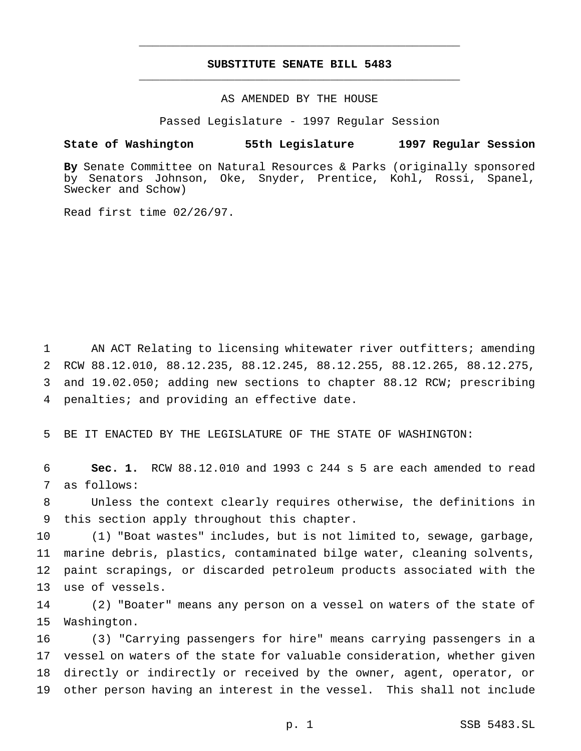## **SUBSTITUTE SENATE BILL 5483** \_\_\_\_\_\_\_\_\_\_\_\_\_\_\_\_\_\_\_\_\_\_\_\_\_\_\_\_\_\_\_\_\_\_\_\_\_\_\_\_\_\_\_\_\_\_\_

\_\_\_\_\_\_\_\_\_\_\_\_\_\_\_\_\_\_\_\_\_\_\_\_\_\_\_\_\_\_\_\_\_\_\_\_\_\_\_\_\_\_\_\_\_\_\_

### AS AMENDED BY THE HOUSE

Passed Legislature - 1997 Regular Session

### **State of Washington 55th Legislature 1997 Regular Session**

**By** Senate Committee on Natural Resources & Parks (originally sponsored by Senators Johnson, Oke, Snyder, Prentice, Kohl, Rossi, Spanel, Swecker and Schow)

Read first time 02/26/97.

 AN ACT Relating to licensing whitewater river outfitters; amending RCW 88.12.010, 88.12.235, 88.12.245, 88.12.255, 88.12.265, 88.12.275, and 19.02.050; adding new sections to chapter 88.12 RCW; prescribing penalties; and providing an effective date.

BE IT ENACTED BY THE LEGISLATURE OF THE STATE OF WASHINGTON:

 **Sec. 1.** RCW 88.12.010 and 1993 c 244 s 5 are each amended to read as follows:

 Unless the context clearly requires otherwise, the definitions in this section apply throughout this chapter.

 (1) "Boat wastes" includes, but is not limited to, sewage, garbage, marine debris, plastics, contaminated bilge water, cleaning solvents, paint scrapings, or discarded petroleum products associated with the use of vessels.

 (2) "Boater" means any person on a vessel on waters of the state of Washington.

 (3) "Carrying passengers for hire" means carrying passengers in a vessel on waters of the state for valuable consideration, whether given directly or indirectly or received by the owner, agent, operator, or other person having an interest in the vessel. This shall not include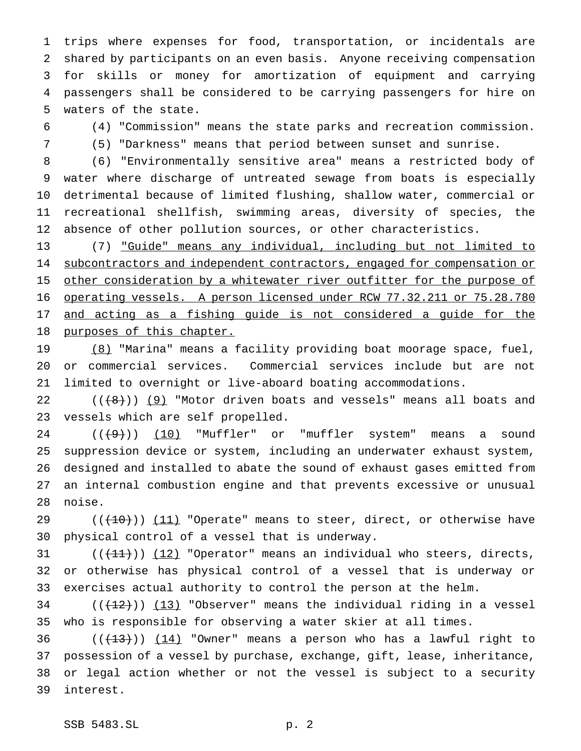trips where expenses for food, transportation, or incidentals are shared by participants on an even basis. Anyone receiving compensation for skills or money for amortization of equipment and carrying passengers shall be considered to be carrying passengers for hire on waters of the state.

(4) "Commission" means the state parks and recreation commission.

(5) "Darkness" means that period between sunset and sunrise.

 (6) "Environmentally sensitive area" means a restricted body of water where discharge of untreated sewage from boats is especially detrimental because of limited flushing, shallow water, commercial or recreational shellfish, swimming areas, diversity of species, the absence of other pollution sources, or other characteristics.

 (7) "Guide" means any individual, including but not limited to 14 subcontractors and independent contractors, engaged for compensation or 15 other consideration by a whitewater river outfitter for the purpose of operating vessels. A person licensed under RCW 77.32.211 or 75.28.780 17 and acting as a fishing guide is not considered a guide for the 18 purposes of this chapter.

 (8) "Marina" means a facility providing boat moorage space, fuel, or commercial services. Commercial services include but are not limited to overnight or live-aboard boating accommodations.

 ( $(\frac{8}{1})$ )  $(9)$  "Motor driven boats and vessels" means all boats and vessels which are self propelled.

  $((+9))$   $(10)$  "Muffler" or "muffler system" means a sound suppression device or system, including an underwater exhaust system, designed and installed to abate the sound of exhaust gases emitted from an internal combustion engine and that prevents excessive or unusual noise.

29  $((+10))$   $(11)$  "Operate" means to steer, direct, or otherwise have physical control of a vessel that is underway.

31  $((+11))$   $(12)$  "Operator" means an individual who steers, directs, or otherwise has physical control of a vessel that is underway or exercises actual authority to control the person at the helm.

 (( $(12)$ )) (13) "Observer" means the individual riding in a vessel who is responsible for observing a water skier at all times.

 $((+13))$   $(14)$  "Owner" means a person who has a lawful right to possession of a vessel by purchase, exchange, gift, lease, inheritance, or legal action whether or not the vessel is subject to a security interest.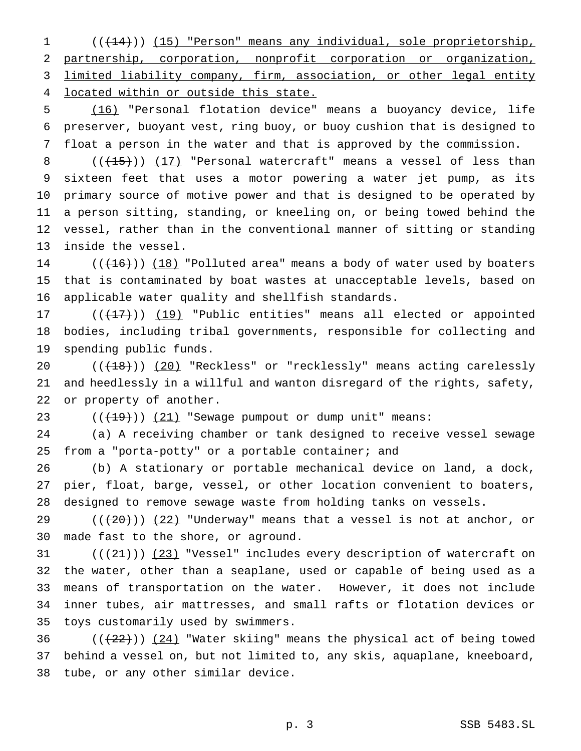1 (( $(14)$ )) (15) "Person" means any individual, sole proprietorship, partnership, corporation, nonprofit corporation or organization, limited liability company, firm, association, or other legal entity located within or outside this state.

 (16) "Personal flotation device" means a buoyancy device, life preserver, buoyant vest, ring buoy, or buoy cushion that is designed to float a person in the water and that is approved by the commission.

 $((+15))$   $(17)$  "Personal watercraft" means a vessel of less than sixteen feet that uses a motor powering a water jet pump, as its primary source of motive power and that is designed to be operated by a person sitting, standing, or kneeling on, or being towed behind the vessel, rather than in the conventional manner of sitting or standing inside the vessel.

14  $((+16))$   $(18)$  "Polluted area" means a body of water used by boaters that is contaminated by boat wastes at unacceptable levels, based on applicable water quality and shellfish standards.

17  $((+17))$   $(19)$  "Public entities" means all elected or appointed bodies, including tribal governments, responsible for collecting and spending public funds.

20 (( $(18)$ )) (20) "Reckless" or "recklessly" means acting carelessly and heedlessly in a willful and wanton disregard of the rights, safety, or property of another.

23  $((+19))$   $(21)$  "Sewage pumpout or dump unit" means:

 (a) A receiving chamber or tank designed to receive vessel sewage from a "porta-potty" or a portable container; and

 (b) A stationary or portable mechanical device on land, a dock, pier, float, barge, vessel, or other location convenient to boaters, designed to remove sewage waste from holding tanks on vessels.

29  $((+20))$   $(22)$  "Underway" means that a vessel is not at anchor, or made fast to the shore, or aground.

 $((+21))$   $(23)$  "Vessel" includes every description of watercraft on the water, other than a seaplane, used or capable of being used as a means of transportation on the water. However, it does not include inner tubes, air mattresses, and small rafts or flotation devices or toys customarily used by swimmers.

36  $((+22))$   $(24)$  "Water skiing" means the physical act of being towed behind a vessel on, but not limited to, any skis, aquaplane, kneeboard, tube, or any other similar device.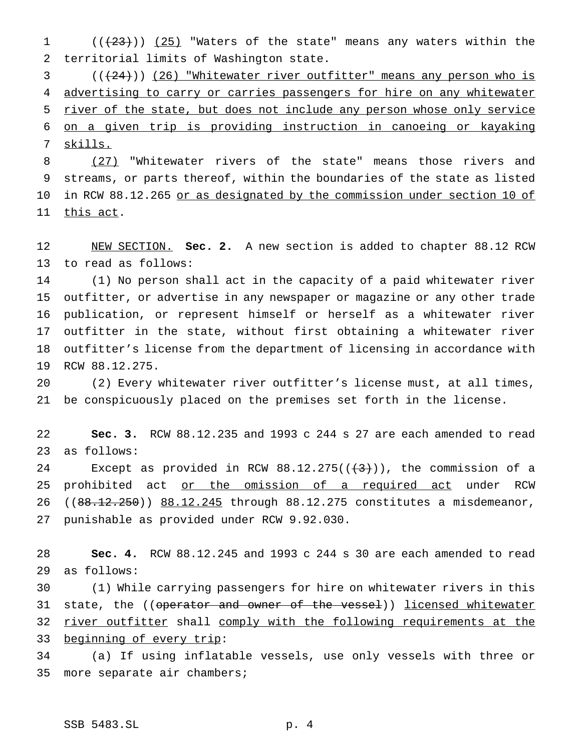(( $(23)$ )) (25) "Waters of the state" means any waters within the territorial limits of Washington state.

3 (( $(24)$ )) (26) "Whitewater river outfitter" means any person who is 4 advertising to carry or carries passengers for hire on any whitewater river of the state, but does not include any person whose only service on a given trip is providing instruction in canoeing or kayaking skills.

8 (27) "Whitewater rivers of the state" means those rivers and streams, or parts thereof, within the boundaries of the state as listed 10 in RCW 88.12.265 or as designated by the commission under section 10 of 11 this act.

 NEW SECTION. **Sec. 2.** A new section is added to chapter 88.12 RCW to read as follows:

 (1) No person shall act in the capacity of a paid whitewater river outfitter, or advertise in any newspaper or magazine or any other trade publication, or represent himself or herself as a whitewater river outfitter in the state, without first obtaining a whitewater river outfitter's license from the department of licensing in accordance with RCW 88.12.275.

 (2) Every whitewater river outfitter's license must, at all times, be conspicuously placed on the premises set forth in the license.

 **Sec. 3.** RCW 88.12.235 and 1993 c 244 s 27 are each amended to read as follows:

24 Except as provided in RCW  $88.12.275((\frac{4}{3}))$ , the commission of a 25 prohibited act or the omission of a required act under RCW 26 ((88.12.250)) 88.12.245 through 88.12.275 constitutes a misdemeanor, punishable as provided under RCW 9.92.030.

 **Sec. 4.** RCW 88.12.245 and 1993 c 244 s 30 are each amended to read as follows:

 (1) While carrying passengers for hire on whitewater rivers in this 31 state, the ((operator and owner of the vessel)) licensed whitewater 32 river outfitter shall comply with the following requirements at the beginning of every trip:

 (a) If using inflatable vessels, use only vessels with three or more separate air chambers;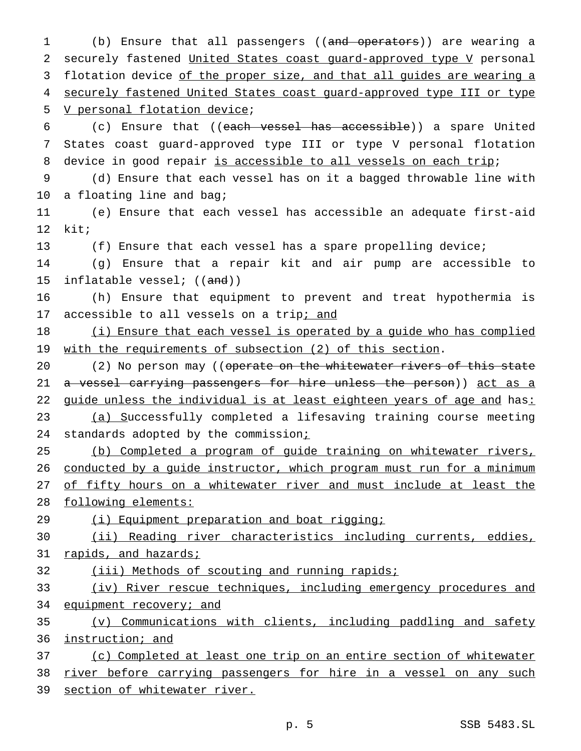1 (b) Ensure that all passengers ((and operators)) are wearing a 2 securely fastened United States coast guard-approved type V personal 3 flotation device of the proper size, and that all guides are wearing a 4 securely fastened United States coast guard-approved type III or type 5 V personal flotation device; 6 (c) Ensure that ((each vessel has accessible)) a spare United 7 States coast guard-approved type III or type V personal flotation 8 device in good repair is accessible to all vessels on each trip; 9 (d) Ensure that each vessel has on it a bagged throwable line with 10 a floating line and bag; 11 (e) Ensure that each vessel has accessible an adequate first-aid 12 kit; 13 (f) Ensure that each vessel has a spare propelling device; 14 (g) Ensure that a repair kit and air pump are accessible to 15 inflatable vessel; ((and)) 16 (h) Ensure that equipment to prevent and treat hypothermia is 17 accessible to all vessels on a tripi and 18 (i) Ensure that each vessel is operated by a guide who has complied 19 with the requirements of subsection (2) of this section. 20 (2) No person may ((operate on the whitewater rivers of this state 21 a vessel carrying passengers for hire unless the person)) act as a 22 guide unless the individual is at least eighteen years of age and has: 23 (a) Successfully completed a lifesaving training course meeting 24 standards adopted by the commission; 25 (b) Completed a program of guide training on whitewater rivers, 26 conducted by a guide instructor, which program must run for a minimum 27 of fifty hours on a whitewater river and must include at least the 28 following elements: 29 (i) Equipment preparation and boat rigging; 30 (ii) Reading river characteristics including currents, eddies, 31 rapids, and hazards; 32 (iii) Methods of scouting and running rapids; 33 (iv) River rescue techniques, including emergency procedures and 34 equipment recovery; and 35 (v) Communications with clients, including paddling and safety 36 instruction; and 37 (c) Completed at least one trip on an entire section of whitewater 38 river before carrying passengers for hire in a vessel on any such 39 section of whitewater river.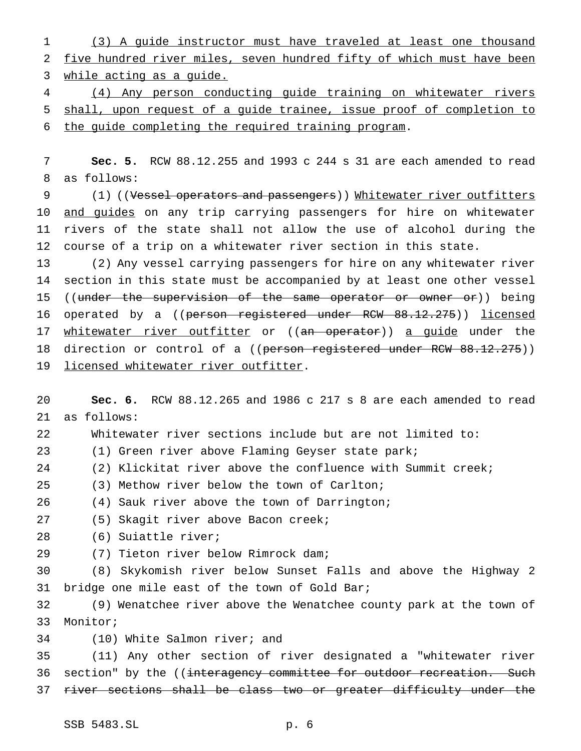(3) A guide instructor must have traveled at least one thousand five hundred river miles, seven hundred fifty of which must have been while acting as a guide.

 (4) Any person conducting guide training on whitewater rivers shall, upon request of a guide trainee, issue proof of completion to the guide completing the required training program.

 **Sec. 5.** RCW 88.12.255 and 1993 c 244 s 31 are each amended to read as follows:

9 (1) ((Vessel operators and passengers)) Whitewater river outfitters 10 <u>and guides</u> on any trip carrying passengers for hire on whitewater rivers of the state shall not allow the use of alcohol during the course of a trip on a whitewater river section in this state.

 (2) Any vessel carrying passengers for hire on any whitewater river section in this state must be accompanied by at least one other vessel 15 ((under the supervision of the same operator or owner or)) being 16 operated by a ((person registered under RCW 88.12.275)) licensed 17 whitewater river outfitter or ((an operator)) a guide under the 18 direction or control of a ((person registered under RCW 88.12.275)) licensed whitewater river outfitter.

 **Sec. 6.** RCW 88.12.265 and 1986 c 217 s 8 are each amended to read as follows:

Whitewater river sections include but are not limited to:

(1) Green river above Flaming Geyser state park;

- (2) Klickitat river above the confluence with Summit creek;
- (3) Methow river below the town of Carlton;
- (4) Sauk river above the town of Darrington;
- (5) Skagit river above Bacon creek;
- (6) Suiattle river;
- (7) Tieton river below Rimrock dam;

 (8) Skykomish river below Sunset Falls and above the Highway 2 bridge one mile east of the town of Gold Bar;

 (9) Wenatchee river above the Wenatchee county park at the town of Monitor;

(10) White Salmon river; and

 (11) Any other section of river designated a "whitewater river 36 section" by the ((interagency committee for outdoor recreation. Such 37 river sections shall be class two or greater difficulty under the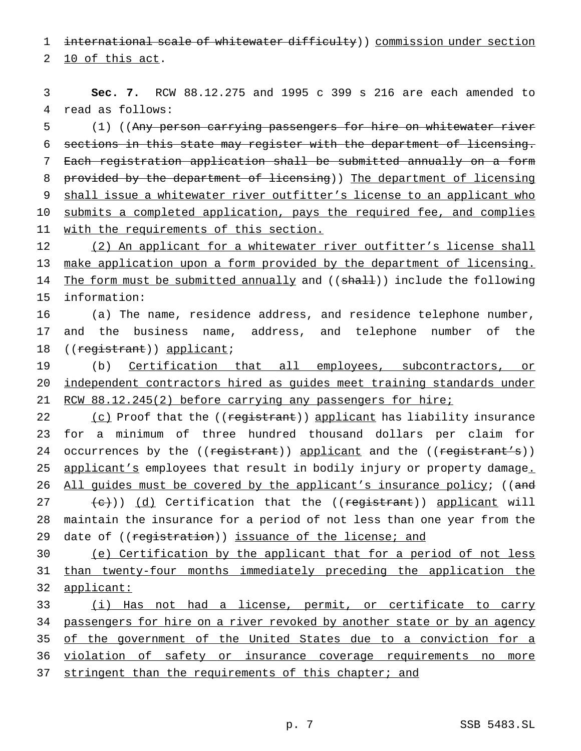1 international scale of whitewater difficulty)) commission under section

2 10 of this act.

3 **Sec. 7.** RCW 88.12.275 and 1995 c 399 s 216 are each amended to 4 read as follows:

5 (1) ((Any person carrying passengers for hire on whitewater river 6 sections in this state may register with the department of licensing. 7 Each registration application shall be submitted annually on a form 8 provided by the department of licensing)) The department of licensing 9 shall issue a whitewater river outfitter's license to an applicant who 10 submits a completed application, pays the required fee, and complies 11 with the requirements of this section.

 (2) An applicant for a whitewater river outfitter's license shall make application upon a form provided by the department of licensing. 14 The form must be submitted annually and ((shall)) include the following information:

16 (a) The name, residence address, and residence telephone number, 17 and the business name, address, and telephone number of the 18 ((registrant)) applicant;

19 (b) Certification that all employees, subcontractors, or 20 independent contractors hired as guides meet training standards under 21 RCW 88.12.245(2) before carrying any passengers for hire;

22 (c) Proof that the ((registrant)) applicant has liability insurance 23 for a minimum of three hundred thousand dollars per claim for 24 occurrences by the ((registrant)) applicant and the ((registrant's)) 25 applicant's employees that result in bodily injury or property damage. 26 All quides must be covered by the applicant's insurance policy; ((and 27 (c)) (d) Certification that the ((registrant)) applicant will 28 maintain the insurance for a period of not less than one year from the

29 date of ((registration)) issuance of the license; and

30 (e) Certification by the applicant that for a period of not less 31 than twenty-four months immediately preceding the application the 32 applicant:

33 (i) Has not had a license, permit, or certificate to carry 34 passengers for hire on a river revoked by another state or by an agency 35 of the government of the United States due to a conviction for a 36 violation of safety or insurance coverage requirements no more 37 stringent than the requirements of this chapter; and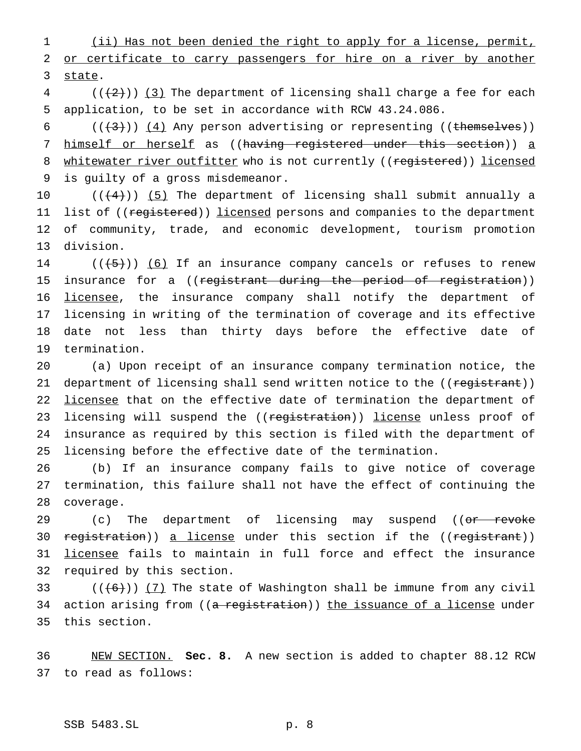(ii) Has not been denied the right to apply for a license, permit, 2 or certificate to carry passengers for hire on a river by another state.

 (( $\left(\frac{1}{2}\right)$ ) (3) The department of licensing shall charge a fee for each application, to be set in accordance with RCW 43.24.086.

 $((+3+))$   $(4)$  Any person advertising or representing ((themselves)) himself or herself as ((having registered under this section)) a 8 whitewater river outfitter who is not currently ((registered)) licensed is guilty of a gross misdemeanor.

 $((+4))$   $(5)$  The department of licensing shall submit annually a 11 list of ((registered)) licensed persons and companies to the department of community, trade, and economic development, tourism promotion division.

 $((+5))$  <u>(6)</u> If an insurance company cancels or refuses to renew 15 insurance for a ((registrant during the period of registration)) 16 licensee, the insurance company shall notify the department of licensing in writing of the termination of coverage and its effective date not less than thirty days before the effective date of termination.

 (a) Upon receipt of an insurance company termination notice, the 21 department of licensing shall send written notice to the ((registrant)) 22 licensee that on the effective date of termination the department of 23 licensing will suspend the ((registration)) license unless proof of insurance as required by this section is filed with the department of licensing before the effective date of the termination.

 (b) If an insurance company fails to give notice of coverage termination, this failure shall not have the effect of continuing the coverage.

29 (c) The department of licensing may suspend ((or revoke 30 registration)) a license under this section if the ((registrant)) 31 licensee fails to maintain in full force and effect the insurance required by this section.

33  $((+6))$   $(7)$  The state of Washington shall be immune from any civil 34 action arising from ((a registration)) the issuance of a license under this section.

 NEW SECTION. **Sec. 8.** A new section is added to chapter 88.12 RCW to read as follows: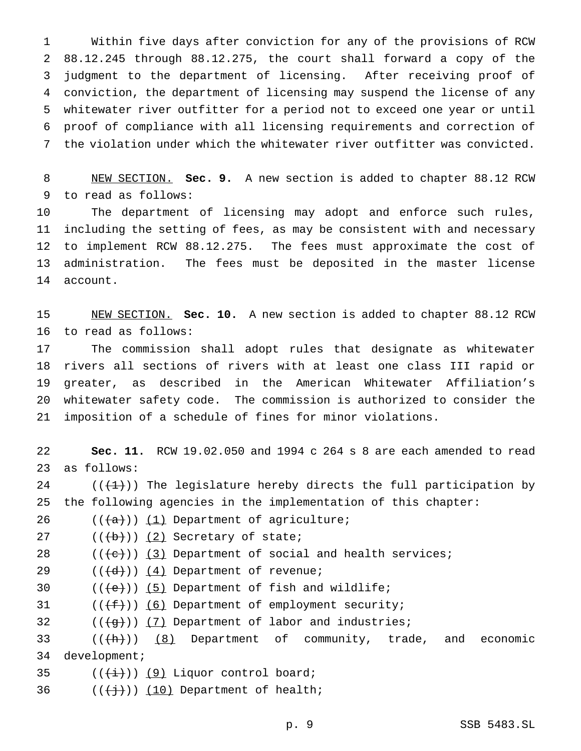Within five days after conviction for any of the provisions of RCW 88.12.245 through 88.12.275, the court shall forward a copy of the judgment to the department of licensing. After receiving proof of conviction, the department of licensing may suspend the license of any whitewater river outfitter for a period not to exceed one year or until proof of compliance with all licensing requirements and correction of the violation under which the whitewater river outfitter was convicted.

 NEW SECTION. **Sec. 9.** A new section is added to chapter 88.12 RCW to read as follows:

 The department of licensing may adopt and enforce such rules, including the setting of fees, as may be consistent with and necessary to implement RCW 88.12.275. The fees must approximate the cost of administration. The fees must be deposited in the master license account.

 NEW SECTION. **Sec. 10.** A new section is added to chapter 88.12 RCW to read as follows:

 The commission shall adopt rules that designate as whitewater rivers all sections of rivers with at least one class III rapid or greater, as described in the American Whitewater Affiliation's whitewater safety code. The commission is authorized to consider the imposition of a schedule of fines for minor violations.

 **Sec. 11.** RCW 19.02.050 and 1994 c 264 s 8 are each amended to read as follows:

24 ( $(\frac{1}{(1)})$ ) The legislature hereby directs the full participation by the following agencies in the implementation of this chapter:

26  $((+a))$   $(1)$  Department of agriculture;

 $((+b))$   $(2)$  Secretary of state;

28  $((\{e\})$   $(3)$  Department of social and health services;

29  $((\{d\}) \ (4)$  Department of revenue;

30  $((\text{+e}))(5)$  Department of fish and wildlife;

31  $((\text{f}+\text{f}))$  (6) Department of employment security;

(( $\left(\frac{1}{9} \right)$ ) (7) Department of labor and industries;

  $((+h))$   $(8)$  Department of community, trade, and economic development;

35  $((\overleftrightarrow{t}))$  (9) Liquor control board;

36  $((\overrightarrow{})\)$   $(10)$  Department of health;